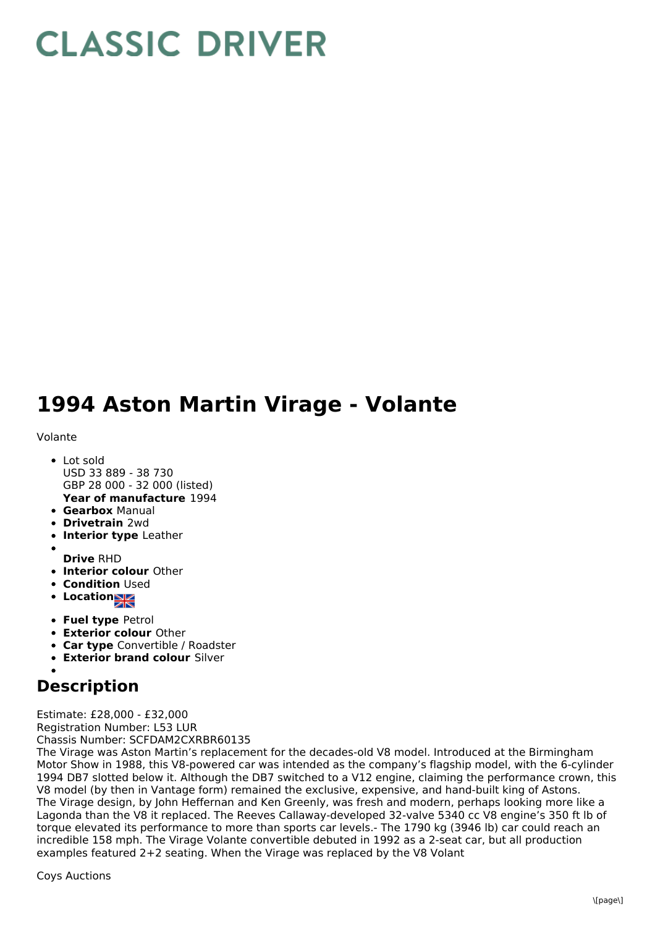## **CLASSIC DRIVER**

## **1994 Aston Martin Virage - Volante**

## Volante

- **Year of manufacture** 1994 Lot sold USD 33 889 - 38 730 GBP 28 000 - 32 000 (listed)
- **Gearbox** Manual
- **Drivetrain** 2wd
- **Interior type** Leather
- 
- **Drive** RHD
- **Interior colour** Other
- **Condition Used**
- Location
- **Fuel type** Petrol
- **Exterior colour** Other
- **Car type** Convertible / Roadster
- **Exterior brand colour** Silver
- 

**Description**

Estimate: £28,000 - £32,000 Registration Number: L53 LUR Chassis Number: SCFDAM2CXRBR60135

The Virage was Aston Martin's replacement for the decades-old V8 model. Introduced at the Birmingham Motor Show in 1988, this V8-powered car was intended as the company's flagship model, with the 6-cylinder 1994 DB7 slotted below it. Although the DB7 switched to a V12 engine, claiming the performance crown, this V8 model (by then in Vantage form) remained the exclusive, expensive, and hand-built king of Astons. The Virage design, by John Heffernan and Ken Greenly, was fresh and modern, perhaps looking more like a Lagonda than the V8 it replaced. The Reeves Callaway-developed 32-valve 5340 cc V8 engine's 350 ft lb of torque elevated its performance to more than sports car levels.- The 1790 kg (3946 lb) car could reach an incredible 158 mph. The Virage Volante convertible debuted in 1992 as a 2-seat car, but all production examples featured 2+2 seating. When the Virage was replaced by the V8 Volant

Coys Auctions